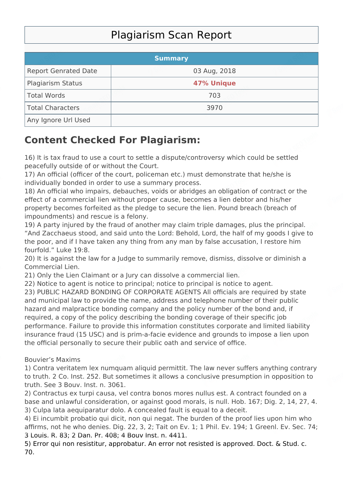## Plagiarism Scan Report

|                             | <b>Summary</b> |  |
|-----------------------------|----------------|--|
| <b>Report Genrated Date</b> | 03 Aug, 2018   |  |
| <b>Plagiarism Status</b>    | 47% Unique     |  |
| Total Words                 | 703            |  |
| Total Characters            | 3970           |  |
| Any Ignore Url Used         |                |  |

## **Content Checked For Plagiarism:**

16) It is tax fraud to use a court to settle a dispute/controversy which could be settled peacefully outside of or without the Court.

17) An official (officer of the court, policeman etc.) must demonstrate that he/she is individually bonded in order to use a summary process.

18) An official who impairs, debauches, voids or abridges an obligation of contract or the effect of a commercial lien without proper cause, becomes a lien debtor and his/her property becomes forfeited as the pledge to secure the lien. Pound breach (breach of impoundments) and rescue is a felony.

19) A party injured by the fraud of another may claim triple damages, plus the principal. "And Zacchaeus stood, and said unto the Lord: Behold, Lord, the half of my goods I give to the poor, and if I have taken any thing from any man by false accusation, I restore him fourfold." Luke 19:8.

20) It is against the law for a Judge to summarily remove, dismiss, dissolve or diminish a Commercial Lien.

21) Only the Lien Claimant or a Jury can dissolve a commercial lien.

22) Notice to agent is notice to principal; notice to principal is notice to agent.

23) PUBLIC HAZARD BONDING OF CORPORATE AGENTS All officials are required by state and municipal law to provide the name, address and telephone number of their public hazard and malpractice bonding company and the policy number of the bond and, if required, a copy of the policy describing the bonding coverage of their specific job performance. Failure to provide this information constitutes corporate and limited liability insurance fraud (15 USC) and is prim-a-facie evidence and grounds to impose a lien upon the official personally to secure their public oath and service of office.

## Bouvier's Maxims

1) Contra veritatem lex numquam aliquid permittit. The law never suffers anything contrary to truth. 2 Co. Inst. 252. But sometimes it allows a conclusive presumption in opposition to truth. See 3 Bouv. Inst. n. 3061.

2) Contractus ex turpi causa, vel contra bonos mores nullus est. A contract founded on a base and unlawful consideration, or against good morals, is null. Hob. 167; Dig. 2, 14, 27, 4. 3) Culpa lata aequiparatur dolo. A concealed fault is equal to a deceit.

4) Ei incumbit probatio qui dicit, non qui negat. The burden of the proof lies upon him who affirms, not he who denies. Dig. 22, 3, 2; Tait on Ev. 1; 1 Phil. Ev. 194; 1 Greenl. Ev. Sec. 74; 3 Louis. R. 83; 2 Dan. Pr. 408; 4 Bouv Inst. n. 4411.

5) Error qui non resistitur, approbatur. An error not resisted is approved. Doct. & Stud. c. 70.